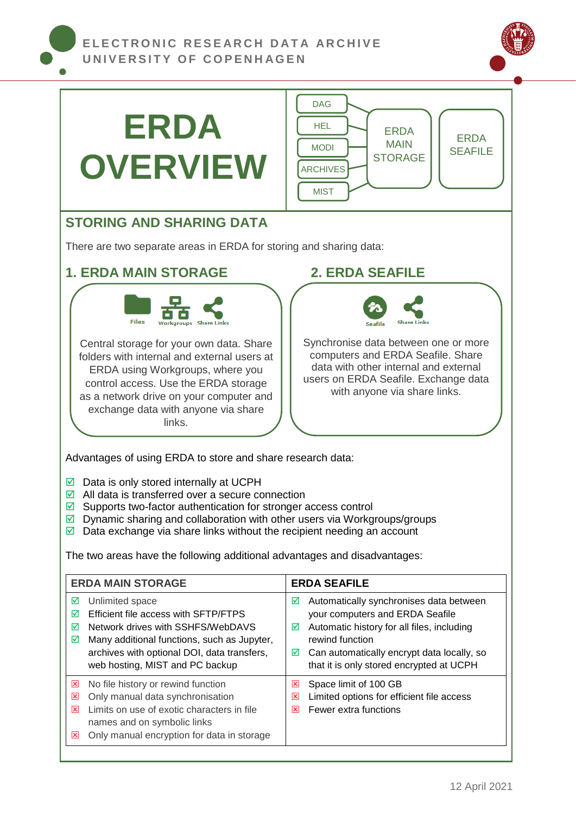

| <b>ERDA</b><br><b>OVERVIEW</b>                                                                                                                                                                                                                                                                                                                                                                                                                                                                                                                                                                                                                                                                                                                                                                                                                                                                                                                                                                                  | <b>DAG</b><br><b>HEL</b><br><b>ERDA</b><br><b>ERDA</b><br><b>MAIN</b><br><b>MODI</b><br><b>SEAFILE</b><br><b>STORAGE</b><br><b>ARCHIVES</b><br><b>MIST</b>                                                                                           |
|-----------------------------------------------------------------------------------------------------------------------------------------------------------------------------------------------------------------------------------------------------------------------------------------------------------------------------------------------------------------------------------------------------------------------------------------------------------------------------------------------------------------------------------------------------------------------------------------------------------------------------------------------------------------------------------------------------------------------------------------------------------------------------------------------------------------------------------------------------------------------------------------------------------------------------------------------------------------------------------------------------------------|------------------------------------------------------------------------------------------------------------------------------------------------------------------------------------------------------------------------------------------------------|
| <b>STORING AND SHARING DATA</b>                                                                                                                                                                                                                                                                                                                                                                                                                                                                                                                                                                                                                                                                                                                                                                                                                                                                                                                                                                                 |                                                                                                                                                                                                                                                      |
| There are two separate areas in ERDA for storing and sharing data:                                                                                                                                                                                                                                                                                                                                                                                                                                                                                                                                                                                                                                                                                                                                                                                                                                                                                                                                              |                                                                                                                                                                                                                                                      |
| <b>1. ERDA MAIN STORAGE</b>                                                                                                                                                                                                                                                                                                                                                                                                                                                                                                                                                                                                                                                                                                                                                                                                                                                                                                                                                                                     | <b>2. ERDA SEAFILE</b>                                                                                                                                                                                                                               |
| <b>Files</b><br><b>Share Links</b><br><b>Seafile</b><br>Synchronise data between one or more<br>Central storage for your own data. Share<br>computers and ERDA Seafile. Share<br>folders with internal and external users at<br>data with other internal and external<br>ERDA using Workgroups, where you<br>users on ERDA Seafile. Exchange data<br>control access. Use the ERDA storage<br>with anyone via share links.<br>as a network drive on your computer and<br>exchange data with anyone via share<br>links.<br>Advantages of using ERDA to store and share research data:<br>Data is only stored internally at UCPH<br>☑<br>All data is transferred over a secure connection<br>☑<br>Supports two-factor authentication for stronger access control<br>☑<br>Dynamic sharing and collaboration with other users via Workgroups/groups<br>☑<br>Data exchange via share links without the recipient needing an account<br>☑<br>The two areas have the following additional advantages and disadvantages: |                                                                                                                                                                                                                                                      |
| <b>ERDA MAIN STORAGE</b>                                                                                                                                                                                                                                                                                                                                                                                                                                                                                                                                                                                                                                                                                                                                                                                                                                                                                                                                                                                        | <b>ERDA SEAFILE</b>                                                                                                                                                                                                                                  |
| Unlimited space<br>☑<br>Efficient file access with SFTP/FTPS<br>☑<br>Network drives with SSHFS/WebDAVS<br>☑<br>Many additional functions, such as Jupyter,<br>☑<br>archives with optional DOI, data transfers,<br>web hosting, MIST and PC backup                                                                                                                                                                                                                                                                                                                                                                                                                                                                                                                                                                                                                                                                                                                                                               | Automatically synchronises data between<br>☑<br>your computers and ERDA Seafile<br>Automatic history for all files, including<br>☑<br>rewind function<br>Can automatically encrypt data locally, so<br>☑<br>that it is only stored encrypted at UCPH |
| No file history or rewind function<br>区<br>Only manual data synchronisation<br>図<br>Limits on use of exotic characters in file<br>×<br>names and on symbolic links<br>Only manual encryption for data in storage<br>⊠                                                                                                                                                                                                                                                                                                                                                                                                                                                                                                                                                                                                                                                                                                                                                                                           | Space limit of 100 GB<br>図<br>Limited options for efficient file access<br>図<br>Fewer extra functions<br>図                                                                                                                                           |